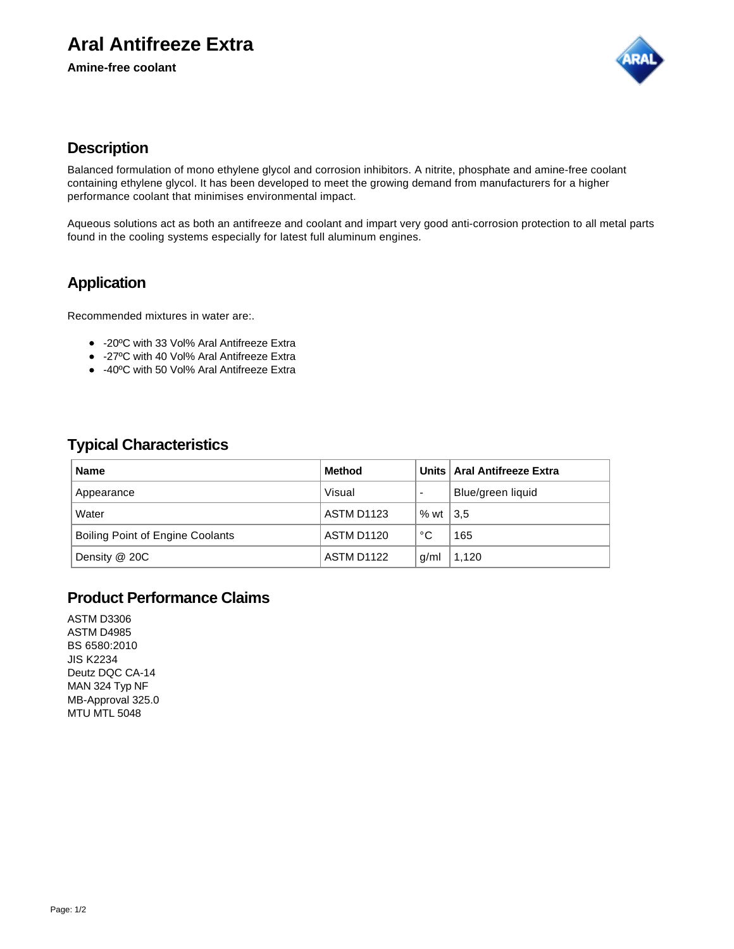# **Aral Antifreeze Extra**

**Amine-free coolant**



### **Description**

Balanced formulation of mono ethylene glycol and corrosion inhibitors. A nitrite, phosphate and amine-free coolant containing ethylene glycol. It has been developed to meet the growing demand from manufacturers for a higher performance coolant that minimises environmental impact.

Aqueous solutions act as both an antifreeze and coolant and impart very good anti-corrosion protection to all metal parts found in the cooling systems especially for latest full aluminum engines.

## **Application**

Recommended mixtures in water are:.

- -20ºC with 33 Vol% Aral Antifreeze Extra
- -27ºC with 40 Vol% Aral Antifreeze Extra
- -40ºC with 50 Vol% Aral Antifreeze Extra

### **Typical Characteristics**

| <b>Name</b>                             | <b>Method</b>     |      | Units   Aral Antifreeze Extra |
|-----------------------------------------|-------------------|------|-------------------------------|
| Appearance                              | Visual            |      | Blue/green liquid             |
| Water                                   | <b>ASTM D1123</b> | % wt | 3,5                           |
| <b>Boiling Point of Engine Coolants</b> | <b>ASTM D1120</b> | °C   | 165                           |
| Density @ 20C                           | ASTM D1122        | g/ml | 1,120                         |

### **Product Performance Claims**

ASTM D3306 ASTM D4985 BS 6580:2010 JIS K2234 Deutz DQC CA-14 MAN 324 Typ NF MB-Approval 325.0 MTU MTL 5048